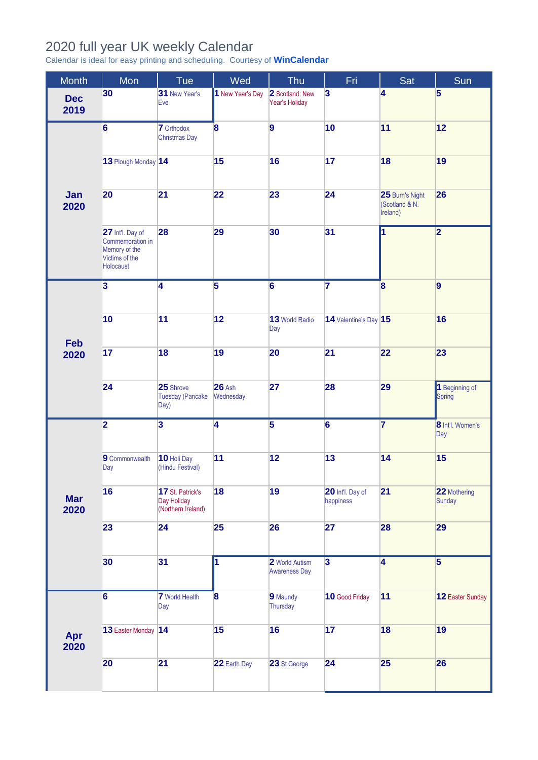## 2020 full year UK weekly Calendar

Calendar is ideal for easy printing and scheduling. Courtesy of **[WinCalendar](https://www.wincalendar.com/2021-Calendar-with-UK-Holidays)**

| Month              | Mon                                                                                  | Tue                                                   | Wed                        | Thu                                    | Fri                           | Sat                                           | Sun                             |
|--------------------|--------------------------------------------------------------------------------------|-------------------------------------------------------|----------------------------|----------------------------------------|-------------------------------|-----------------------------------------------|---------------------------------|
| <b>Dec</b><br>2019 | 30                                                                                   | 31 New Year's<br>Eve                                  | 1 New Year's Day           | 2 Scotland: New<br>Year's Holiday      | $\overline{\mathbf{3}}$       | $\overline{\mathbf{4}}$                       | $\overline{\mathbf{5}}$         |
| Jan<br>2020        | $\overline{6}$                                                                       | <b>7</b> Orthodox<br><b>Christmas Day</b>             | $\overline{\mathbf{8}}$    | 9                                      | 10                            | 11                                            | 12                              |
|                    | 13 Plough Monday 14                                                                  |                                                       | 15                         | 16                                     | 17                            | 18                                            | 19                              |
|                    | 20                                                                                   | 21                                                    | 22                         | 23                                     | 24                            | 25 Burn's Night<br>(Scotland & N.<br>Ireland) | 26                              |
|                    | 27 Int'l. Day of<br>Commemoration in<br>Memory of the<br>Victims of the<br>Holocaust | 28                                                    | 29                         | 30                                     | 31                            | <sup>1</sup>                                  | $\overline{2}$                  |
| Feb<br>2020        | $\overline{\mathbf{3}}$                                                              | $\overline{4}$                                        | $\overline{5}$             | $\overline{6}$                         | $\overline{7}$                | 8                                             | $\overline{9}$                  |
|                    | 10                                                                                   | 11                                                    | 12                         | 13 World Radio<br>Day                  | 14 Valentine's Day 15         |                                               | 16                              |
|                    | 17                                                                                   | 18                                                    | 19                         | 20                                     | 21                            | 22                                            | 23                              |
|                    | 24                                                                                   | 25 Shrove<br><b>Tuesday (Pancake</b><br>Day)          | <b>26 Ash</b><br>Wednesday | 27                                     | 28                            | 29                                            | 1 Beginning of<br><b>Spring</b> |
| <b>Mar</b><br>2020 | $\overline{\mathbf{2}}$                                                              | $\overline{\mathbf{3}}$                               | $\overline{4}$             | $\overline{5}$                         | $\overline{6}$                | $\overline{\mathbf{7}}$                       | 8 Int'l. Women's<br>Day         |
|                    | 9 Commonwealth<br>Day                                                                | 10 Holi Day<br>(Hindu Festival)                       | 11                         | 12                                     | 13                            | 14                                            | 15                              |
|                    | 16                                                                                   | 17 St. Patrick's<br>Day Holiday<br>(Northern Ireland) | 18                         | 19                                     | 20 Int'l. Day of<br>happiness | 21                                            | 22 Mothering<br>Sunday          |
|                    | 23                                                                                   | 24                                                    | 25                         | 26                                     | 27                            | 28                                            | 29                              |
|                    | 30                                                                                   | 31                                                    | $\overline{\mathbf{1}}$    | 2 World Autism<br><b>Awareness Day</b> | $\overline{\mathbf{3}}$       | $\overline{4}$                                | $\overline{5}$                  |
| Apr<br>2020        | $\overline{\mathbf{6}}$                                                              | <b>7</b> World Health<br>Day                          | 8                          | 9 Maundy<br>Thursday                   | 10 Good Friday                | 11                                            | 12 Easter Sunday                |
|                    | 13 Easter Monday 14                                                                  |                                                       | 15                         | 16                                     | 17                            | 18                                            | 19                              |
|                    | 20                                                                                   | 21                                                    | 22 Earth Day               | 23 St George                           | 24                            | 25                                            | 26                              |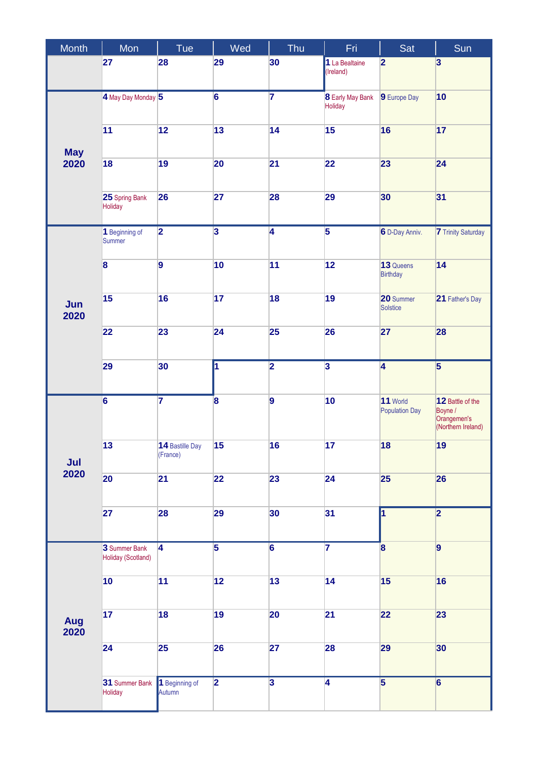| Month              | Mon                                 | Tue                         | Wed                     | Thu                     | Fri                                | Sat                               | Sun                                                              |
|--------------------|-------------------------------------|-----------------------------|-------------------------|-------------------------|------------------------------------|-----------------------------------|------------------------------------------------------------------|
|                    | 27                                  | 28                          | 29                      | 30                      | 1 La Bealtaine<br>(Ireland)        | $\overline{2}$                    | $\overline{\mathbf{3}}$                                          |
| <b>May</b><br>2020 | 4 May Day Monday 5                  |                             | $\overline{\mathbf{6}}$ | $\overline{\mathbf{7}}$ | <b>8</b> Early May Bank<br>Holiday | 9 Europe Day                      | 10                                                               |
|                    | 11                                  | 12                          | 13                      | 14                      | 15                                 | 16                                | 17                                                               |
|                    | 18                                  | 19                          | 20                      | 21                      | 22                                 | 23                                | 24                                                               |
|                    | 25 Spring Bank<br>Holiday           | 26                          | 27                      | 28                      | 29                                 | 30                                | 31                                                               |
| Jun<br>2020        | 1 Beginning of<br>Summer            | $\overline{\mathbf{2}}$     | $\overline{\mathbf{3}}$ | $\overline{4}$          | $\overline{\mathbf{5}}$            | 6 D-Day Anniv.                    | <b>7</b> Trinity Saturday                                        |
|                    | 8                                   | $\overline{9}$              | 10                      | 11                      | 12                                 | 13 Queens<br><b>Birthday</b>      | 14                                                               |
|                    | 15                                  | 16                          | 17                      | 18                      | 19                                 | 20 Summer<br>Solstice             | 21 Father's Day                                                  |
|                    | 22                                  | 23                          | 24                      | 25                      | 26                                 | 27                                | 28                                                               |
|                    | 29                                  | 30                          | 1                       | $\overline{2}$          | $\overline{\mathbf{3}}$            | $\overline{\mathbf{4}}$           | $\overline{5}$                                                   |
| Jul<br>2020        | $\overline{6}$                      | $\overline{\mathbf{7}}$     | $\overline{\mathbf{8}}$ | $\overline{9}$          | 10                                 | 11 World<br><b>Population Day</b> | 12 Battle of the<br>Boyne /<br>Orangemen's<br>(Northern Ireland) |
|                    | 13                                  | 14 Bastille Day<br>(France) | 15                      | 16                      | 17                                 | 18                                | 19                                                               |
|                    | 20                                  | 21                          | 22                      | 23                      | 24                                 | 25                                | 26                                                               |
|                    | 27                                  | 28                          | 29                      | 30                      | 31                                 | 1                                 | $\overline{\mathbf{2}}$                                          |
| Aug<br>2020        | 3 Summer Bank<br>Holiday (Scotland) | $\overline{4}$              | $\overline{5}$          | $\overline{6}$          | $\overline{7}$                     | $\overline{\mathbf{8}}$           | $\vert$ 9                                                        |
|                    | 10                                  | 11                          | 12                      | 13                      | 14                                 | 15                                | 16                                                               |
|                    | 17                                  | 18                          | 19                      | 20                      | 21                                 | 22                                | 23                                                               |
|                    | 24                                  | 25                          | 26                      | 27                      | 28                                 | 29                                | 30                                                               |
|                    | 31 Summer Bank<br>Holiday           | 1 Beginning of<br>Autumn    | $\overline{2}$          | $\overline{\mathbf{3}}$ | $\overline{4}$                     | $\overline{5}$                    | $\overline{6}$                                                   |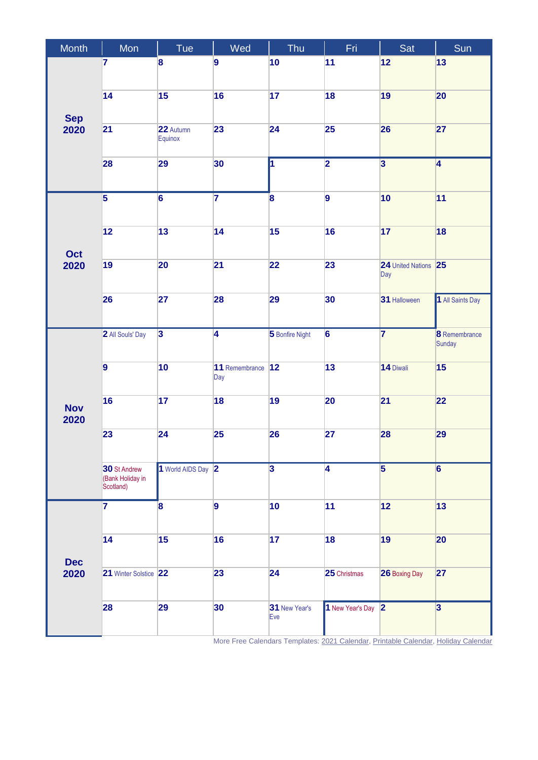| Month              | Mon                           | Tue                     | Wed                     | Thu                     | Fri                | Sat                     | Sun                     |
|--------------------|-------------------------------|-------------------------|-------------------------|-------------------------|--------------------|-------------------------|-------------------------|
| <b>Sep</b><br>2020 | 7                             | 8                       | 9                       | 10                      | 11                 | 12                      | 13                      |
|                    |                               |                         |                         |                         |                    |                         |                         |
|                    | 14                            | 15                      | 16                      | 17                      | 18                 | 19                      | 20                      |
|                    | 21                            | 22 Autumn               | 23                      | 24                      | 25                 | 26                      | 27                      |
|                    |                               | Equinox                 |                         |                         |                    |                         |                         |
|                    | 28                            | 29                      | 30                      | $\overline{\mathbf{1}}$ | $\overline{2}$     | $\overline{\mathbf{3}}$ | $\overline{4}$          |
|                    |                               |                         |                         |                         |                    |                         |                         |
|                    | $\overline{\mathbf{5}}$       | $\overline{6}$          | $\overline{\mathbf{7}}$ | 8                       | 9                  | 10                      | 11                      |
|                    | 12                            | 13                      | 14                      | 15                      | 16                 | 17                      | 18                      |
|                    |                               |                         |                         |                         |                    |                         |                         |
| Oct<br>2020        | 19                            | 20                      | 21                      | 22                      | 23                 | 24 United Nations 25    |                         |
|                    |                               |                         |                         |                         |                    | Day                     |                         |
|                    | 26                            | 27                      | 28                      | 29                      | 30                 | 31 Halloween            | 1 All Saints Day        |
|                    |                               |                         |                         |                         |                    |                         |                         |
|                    | 2 All Souls' Day              | $\overline{\mathbf{3}}$ | $\overline{4}$          | 5 Bonfire Night         | $\overline{6}$     | $\overline{7}$          | 8 Remembrance<br>Sunday |
|                    | $\overline{9}$                | 10                      | 11 Remembrance          | 12                      | 13                 | 14 Diwali               | 15                      |
| <b>Nov</b><br>2020 |                               |                         | Day                     |                         |                    |                         |                         |
|                    | 16                            | 17                      | 18                      | 19                      | 20                 | 21                      | 22                      |
|                    |                               |                         |                         |                         |                    |                         |                         |
|                    | 23                            | 24                      | 25                      | 26                      | 27                 | 28                      | 29                      |
|                    | 30 St Andrew                  | 1 World AIDS Day 2      |                         | $\overline{\mathbf{3}}$ | 4                  | $\overline{\mathbf{5}}$ | $6\phantom{a}$          |
|                    | (Bank Holiday in<br>Scotland) |                         |                         |                         |                    |                         |                         |
|                    | $\overline{\mathbf{7}}$       | 8                       | 9                       | 10                      | 11                 | 12                      | 13                      |
|                    |                               |                         |                         |                         |                    |                         |                         |
|                    | 14                            | 15                      | 16                      | 17                      | 18                 | 19                      | 20                      |
| <b>Dec</b>         |                               |                         |                         |                         |                    |                         |                         |
| 2020               | 21 Winter Solstice 22         |                         | 23                      | 24                      | 25 Christmas       | 26 Boxing Day           | 27                      |
|                    | 28                            | 29                      | 30                      | 31 New Year's           | 1 New Year's Day 2 |                         | $\overline{\mathbf{3}}$ |
|                    |                               |                         |                         | Eve                     |                    |                         |                         |
|                    |                               |                         |                         |                         |                    |                         |                         |

More Free Calendars Templates: [2021 Calendar,](https://www.wincalendar.com/2021-Calendar-with-UK-Holidays) [Printable Calendar,](https://www.wincalendar.com/Calendar-UK/2021) [Holiday Calendar](https://www.wincalendar.com/Calendar-UK)